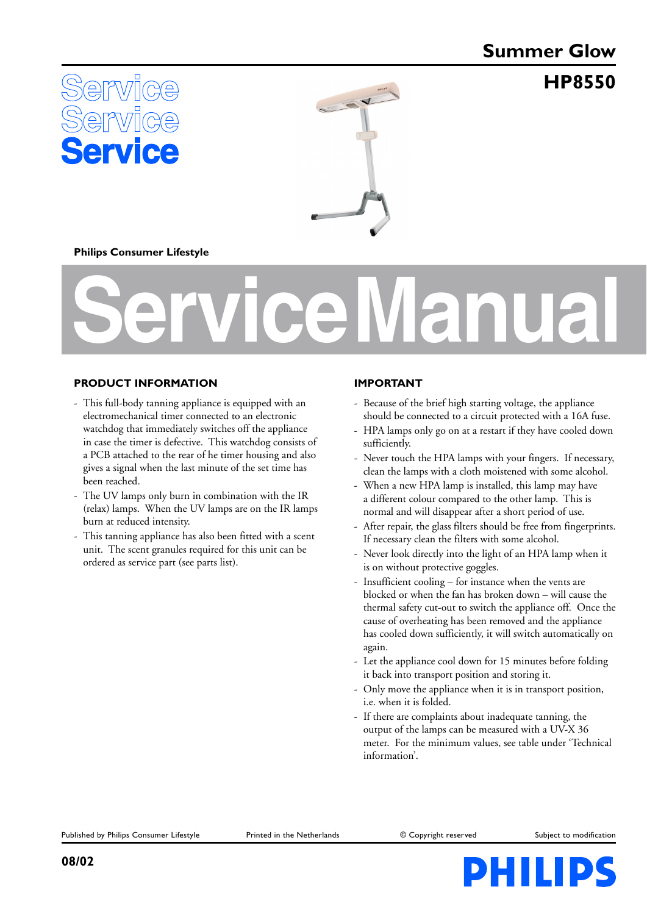# **Summer Glow**

**HP8550**





#### **Philips Consumer Lifestyle**

# **Service Manual**

#### **PRODUCT INFORMATION**

- This full-body tanning appliance is equipped with an electromechanical timer connected to an electronic watchdog that immediately switches off the appliance in case the timer is defective. This watchdog consists of a PCB attached to the rear of he timer housing and also gives a signal when the last minute of the set time has been reached.
- The UV lamps only burn in combination with the IR (relax) lamps. When the UV lamps are on the IR lamps burn at reduced intensity.
- This tanning appliance has also been fitted with a scent unit. The scent granules required for this unit can be ordered as service part (see parts list).

#### **IMPORTANT**

- Because of the brief high starting voltage, the appliance should be connected to a circuit protected with a 16A fuse.
- HPA lamps only go on at a restart if they have cooled down sufficiently.
- Never touch the HPA lamps with your fingers. If necessary, clean the lamps with a cloth moistened with some alcohol.
- When a new HPA lamp is installed, this lamp may have a different colour compared to the other lamp. This is normal and will disappear after a short period of use.
- After repair, the glass filters should be free from fingerprints. If necessary clean the filters with some alcohol.
- Never look directly into the light of an HPA lamp when it is on without protective goggles.
- Insufficient cooling for instance when the vents are blocked or when the fan has broken down – will cause the thermal safety cut-out to switch the appliance off. Once the cause of overheating has been removed and the appliance has cooled down sufficiently, it will switch automatically on again.
- Let the appliance cool down for 15 minutes before folding it back into transport position and storing it.
- Only move the appliance when it is in transport position, i.e. when it is folded.
- If there are complaints about inadequate tanning, the output of the lamps can be measured with a UV-X 36 meter. For the minimum values, see table under 'Technical information'.

Published by Philips Consumer Lifestyle Printed in the Netherlands Copyright reserved Subject to modification

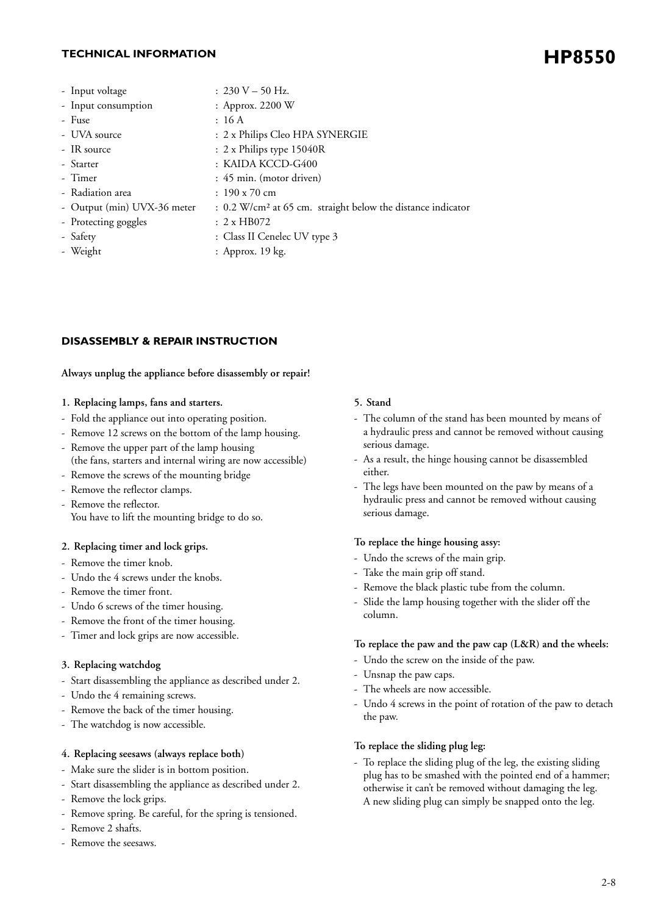## **HP8550 TECHNICAL INFORMATION**

| : $230 V - 50 Hz$ .                                                     |
|-------------------------------------------------------------------------|
| : Approx. 2200 W                                                        |
| : 16A                                                                   |
| : 2 x Philips Cleo HPA SYNERGIE                                         |
| : 2 x Philips type 15040R                                               |
| : KAIDA KCCD-G400                                                       |
| : 45 min. (motor driven)                                                |
| $: 190 \times 70$ cm                                                    |
| : 0.2 W/cm <sup>2</sup> at 65 cm. straight below the distance indicator |
| : 2x H B072                                                             |
|                                                                         |

- 
- 
- Safety : Class II Cenelec UV type 3
- Weight : Approx. 19 kg.

### **DISASSEMBLY & REPAIR INSTRUCTION**

#### **Always unplug the appliance before disassembly or repair!**

#### **1. Replacing lamps, fans and starters.**

- Fold the appliance out into operating position.
- Remove 12 screws on the bottom of the lamp housing.
- Remove the upper part of the lamp housing
- (the fans, starters and internal wiring are now accessible)
- Remove the screws of the mounting bridge
- Remove the reflector clamps.
- Remove the reflector. You have to lift the mounting bridge to do so.

#### **2. Replacing timer and lock grips.**

- Remove the timer knob.
- Undo the 4 screws under the knobs.
- Remove the timer front.
- Undo 6 screws of the timer housing.
- Remove the front of the timer housing.
- Timer and lock grips are now accessible.

#### **3. Replacing watchdog**

- Start disassembling the appliance as described under 2.
- Undo the 4 remaining screws.
- Remove the back of the timer housing.
- The watchdog is now accessible.

#### **4. Replacing seesaws (always replace both)**

- Make sure the slider is in bottom position.
- Start disassembling the appliance as described under 2.
- Remove the lock grips.
- Remove spring. Be careful, for the spring is tensioned.
- Remove 2 shafts.
- Remove the seesaws.

#### **5. Stand**

- The column of the stand has been mounted by means of a hydraulic press and cannot be removed without causing serious damage.
- As a result, the hinge housing cannot be disassembled either.
- The legs have been mounted on the paw by means of a hydraulic press and cannot be removed without causing serious damage.

#### **To replace the hinge housing assy:**

- Undo the screws of the main grip.
- Take the main grip off stand.
- Remove the black plastic tube from the column.
- Slide the lamp housing together with the slider off the column.

#### **To replace the paw and the paw cap (L&R) and the wheels:**

- Undo the screw on the inside of the paw.
- Unsnap the paw caps.
- The wheels are now accessible.
- Undo 4 screws in the point of rotation of the paw to detach the paw.

#### **To replace the sliding plug leg:**

- To replace the sliding plug of the leg, the existing sliding plug has to be smashed with the pointed end of a hammer; otherwise it can't be removed without damaging the leg. A new sliding plug can simply be snapped onto the leg.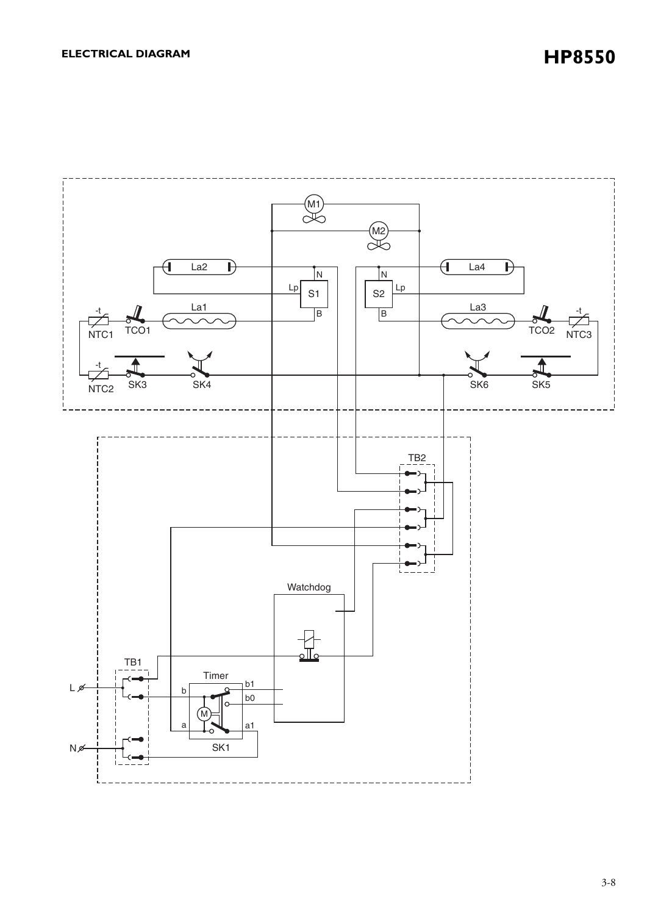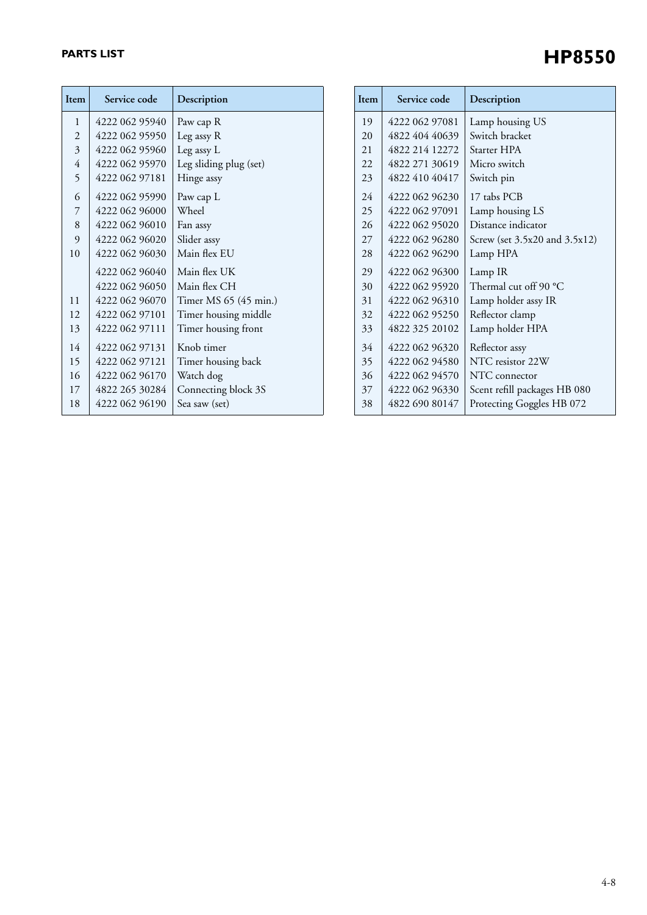## **PARTS LIST**

| Item | Service code   | Description            | Ite                   |
|------|----------------|------------------------|-----------------------|
| 1    | 4222 062 95940 | Paw cap R              | 1'                    |
| 2    | 4222 062 95950 | Leg assy R             | $\overline{2}$        |
| 3    | 4222 062 95960 | Leg assy L             | $\overline{2}$        |
| 4    | 4222 062 95970 | Leg sliding plug (set) | $\overline{2}$        |
| 5    | 4222 062 97181 | Hinge assy             | $\overline{2}$        |
| 6    | 4222 062 95990 | Paw cap L              | $\mathfrak{2}$        |
| 7    | 4222 062 96000 | Wheel                  | $\overline{2}$        |
| 8    | 4222 062 96010 | Fan assy               | $\overline{2}$        |
| 9    | 4222 062 96020 | Slider assy            | $\mathbf{2}^{\prime}$ |
| 10   | 4222 062 96030 | Main flex EU           | $\overline{2}$        |
|      | 4222 062 96040 | Main flex UK           | 2 <sup>1</sup>        |
|      | 4222 062 96050 | Main flex CH           | 3 <sup>1</sup>        |
| 11   | 4222 062 96070 | Timer MS 65 (45 min.)  | 3                     |
| 12   | 4222 062 97101 | Timer housing middle   | 3 <sup>2</sup>        |
| 13   | 4222 062 97111 | Timer housing front    | 3                     |
| 14   | 4222 062 97131 | Knob timer             | 3 <sup>1</sup>        |
| 15   | 4222 062 97121 | Timer housing back     | 3 <sup>2</sup>        |
| 16   | 4222 062 96170 | Watch dog              | $\mathfrak{Z}$        |
| 17   | 4822 265 30284 | Connecting block 3S    | $3^{\circ}$           |
| 18   | 4222 062 96190 | Sea saw (set)          | $\overline{3}$        |
|      |                |                        |                       |

| Item | Service code   | Description                   |
|------|----------------|-------------------------------|
| 19   | 4222 062 97081 | Lamp housing US               |
| 20   | 4822 404 40639 | Switch bracket                |
| 21   | 4822 214 12272 | Starter HPA                   |
| 22   | 4822 271 30619 | Micro switch                  |
| 23   | 4822 410 40417 | Switch pin                    |
| 2.4  | 4222 062 96230 | 17 tabs PCB                   |
| 25   | 4222 062 97091 | Lamp housing LS               |
| 26   | 4222 062 95020 | Distance indicator            |
| 27   | 4222 062 96280 | Screw (set 3.5x20 and 3.5x12) |
| 28   | 4222 062 96290 | Lamp HPA                      |
| 29   | 4222 062 96300 | Lamp IR                       |
| 30   | 4222 062 95920 | Thermal cut off 90 °C         |
| 31   | 4222 062 96310 | Lamp holder assy IR           |
| 32   | 4222 062 95250 | Reflector clamp               |
| 33   | 4822 325 20102 | Lamp holder HPA               |
| 34   | 4222 062 96320 | Reflector assy                |
| 35   | 4222 062 94580 | NTC resistor 22W              |
| 36   | 4222 062 94570 | NTC connector                 |
| 37   | 4222 062 96330 | Scent refill packages HB 080  |
| 38   | 4822 690 80147 | Protecting Goggles HB 072     |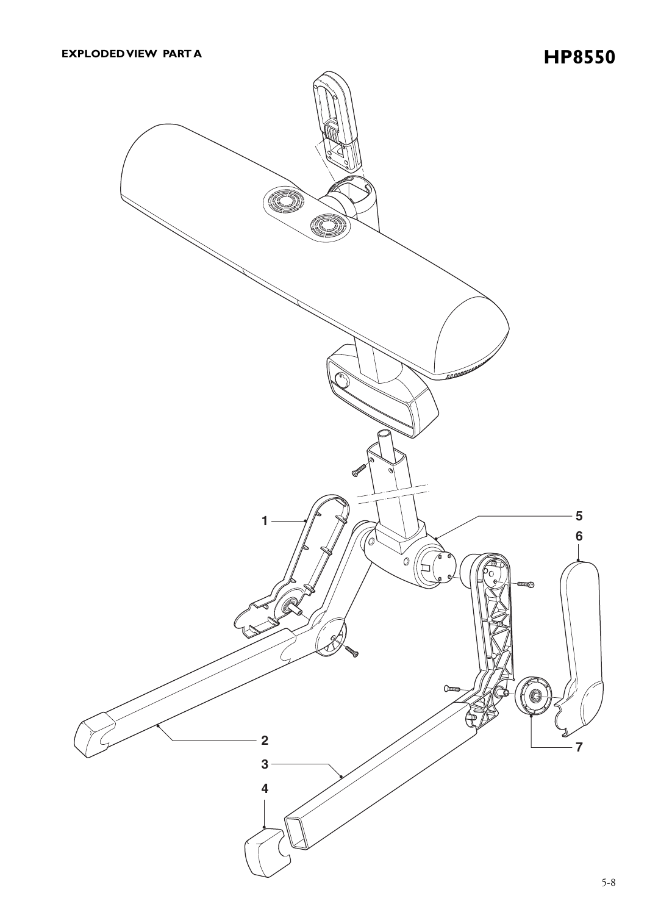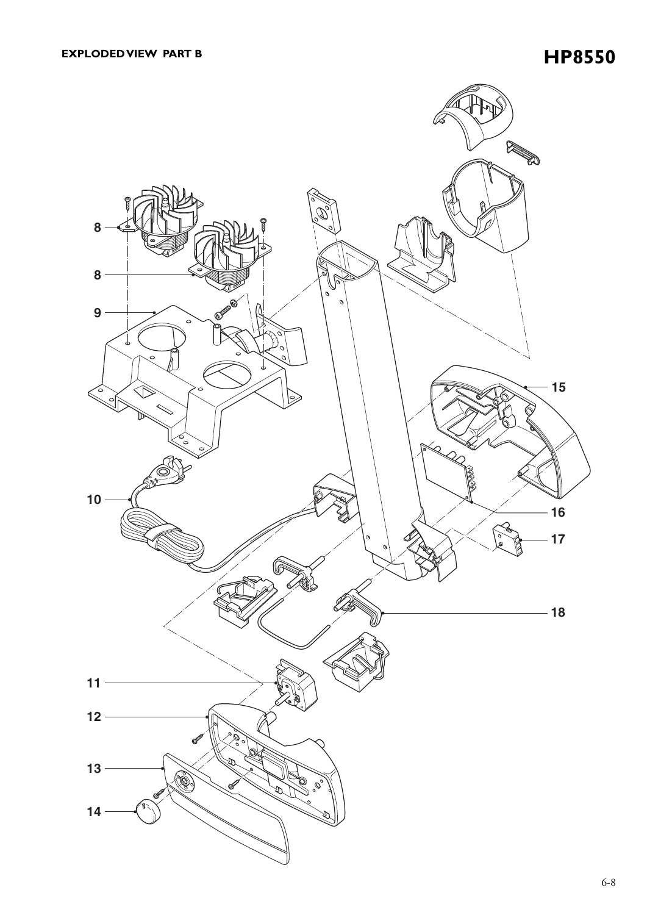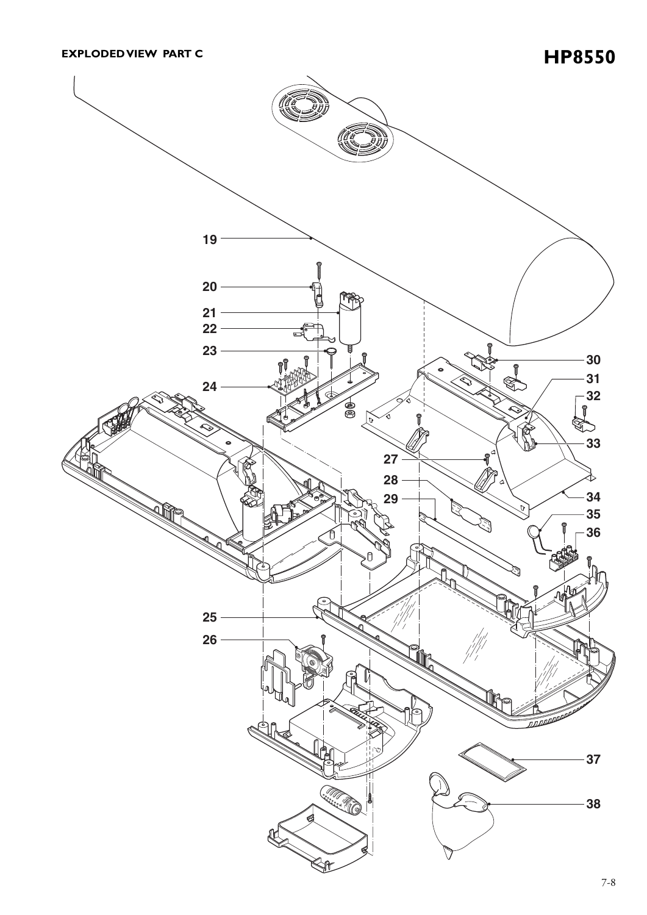